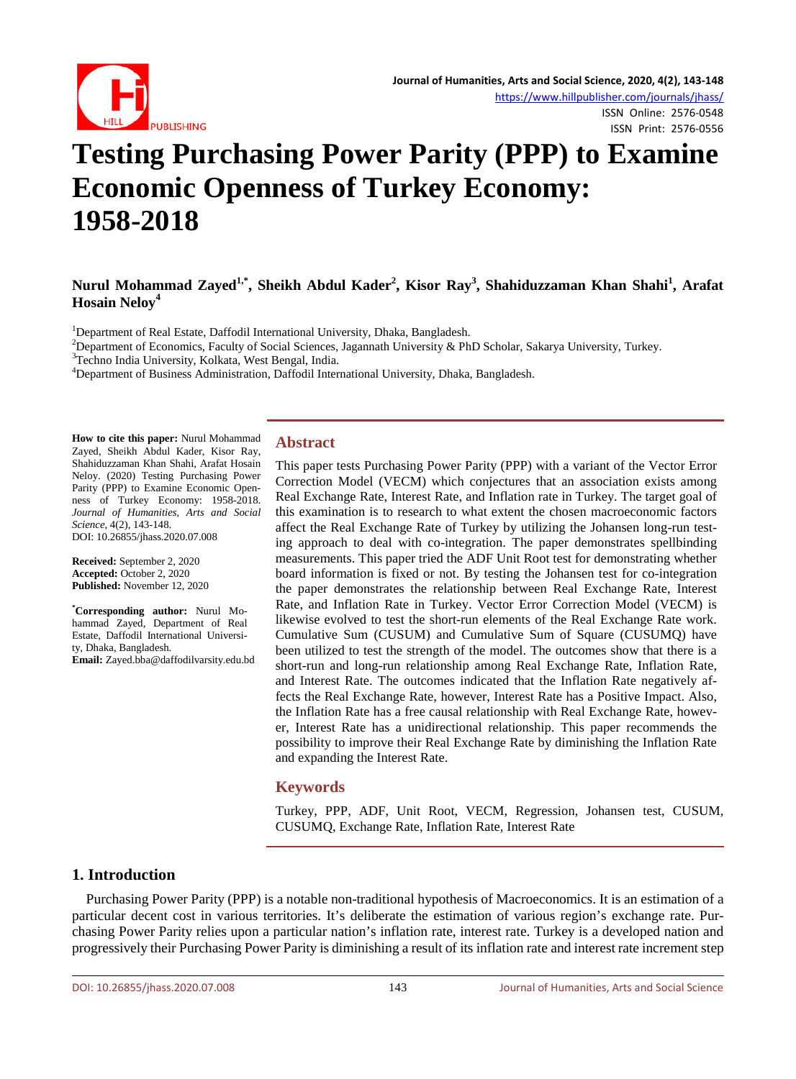

ISSN Online: 2576-0548 ISSN Print: 2576-0556

# **Testing Purchasing Power Parity (PPP) to Examine Economic Openness of Turkey Economy: 1958-2018**

# **Nurul Mohammad Zayed1,\*, Sheikh Abdul Kader2 , Kisor Ray<sup>3</sup> , Shahiduzzaman Khan Shahi<sup>1</sup> , Arafat Hosain Neloy<sup>4</sup>**

<sup>1</sup>Department of Real Estate, Daffodil International University, Dhaka, Bangladesh.<br><sup>2</sup>Department of Economics, Faculty of Social Sciences, Jaconnath University & Ph

<sup>2</sup>Department of Economics, Faculty of Social Sciences, Jagannath University & PhD Scholar, Sakarya University, Turkey.

<sup>3</sup>Techno India University, Kolkata, West Bengal, India.

<sup>4</sup>Department of Business Administration, Daffodil International University, Dhaka, Bangladesh.

**How to cite this paper:** Nurul Mohammad Zayed, Sheikh Abdul Kader, Kisor Ray, Shahiduzzaman Khan Shahi, Arafat Hosain Neloy. (2020) Testing Purchasing Power Parity (PPP) to Examine Economic Openness of Turkey Economy: 1958-2018. *Journal of Humanities, Arts and Social Science*, 4(2), 143-148. DOI: 10.26855/jhass.2020.07.008

**Received:** September 2, 2020 **Accepted:** October 2, 2020 **Published:** November 12, 2020

**\* Corresponding author:** Nurul Mohammad Zayed, Department of Real Estate, Daffodil International University, Dhaka, Bangladesh. **Email:** Zayed.bba@daffodilvarsity.edu.bd **Abstract**

This paper tests Purchasing Power Parity (PPP) with a variant of the Vector Error Correction Model (VECM) which conjectures that an association exists among Real Exchange Rate, Interest Rate, and Inflation rate in Turkey. The target goal of this examination is to research to what extent the chosen macroeconomic factors affect the Real Exchange Rate of Turkey by utilizing the Johansen long-run testing approach to deal with co-integration. The paper demonstrates spellbinding measurements. This paper tried the ADF Unit Root test for demonstrating whether board information is fixed or not. By testing the Johansen test for co-integration the paper demonstrates the relationship between Real Exchange Rate, Interest Rate, and Inflation Rate in Turkey. Vector Error Correction Model (VECM) is likewise evolved to test the short-run elements of the Real Exchange Rate work. Cumulative Sum (CUSUM) and Cumulative Sum of Square (CUSUMQ) have been utilized to test the strength of the model. The outcomes show that there is a short-run and long-run relationship among Real Exchange Rate, Inflation Rate, and Interest Rate. The outcomes indicated that the Inflation Rate negatively affects the Real Exchange Rate, however, Interest Rate has a Positive Impact. Also, the Inflation Rate has a free causal relationship with Real Exchange Rate, however, Interest Rate has a unidirectional relationship. This paper recommends the possibility to improve their Real Exchange Rate by diminishing the Inflation Rate and expanding the Interest Rate.

#### **Keywords**

Turkey, PPP, ADF, Unit Root, VECM, Regression, Johansen test, CUSUM, CUSUMQ, Exchange Rate, Inflation Rate, Interest Rate

### **1. Introduction**

Purchasing Power Parity (PPP) is a notable non-traditional hypothesis of Macroeconomics. It is an estimation of a particular decent cost in various territories. It's deliberate the estimation of various region's exchange rate. Purchasing Power Parity relies upon a particular nation's inflation rate, interest rate. Turkey is a developed nation and progressively their Purchasing Power Parity is diminishing a result of its inflation rate and interest rate increment step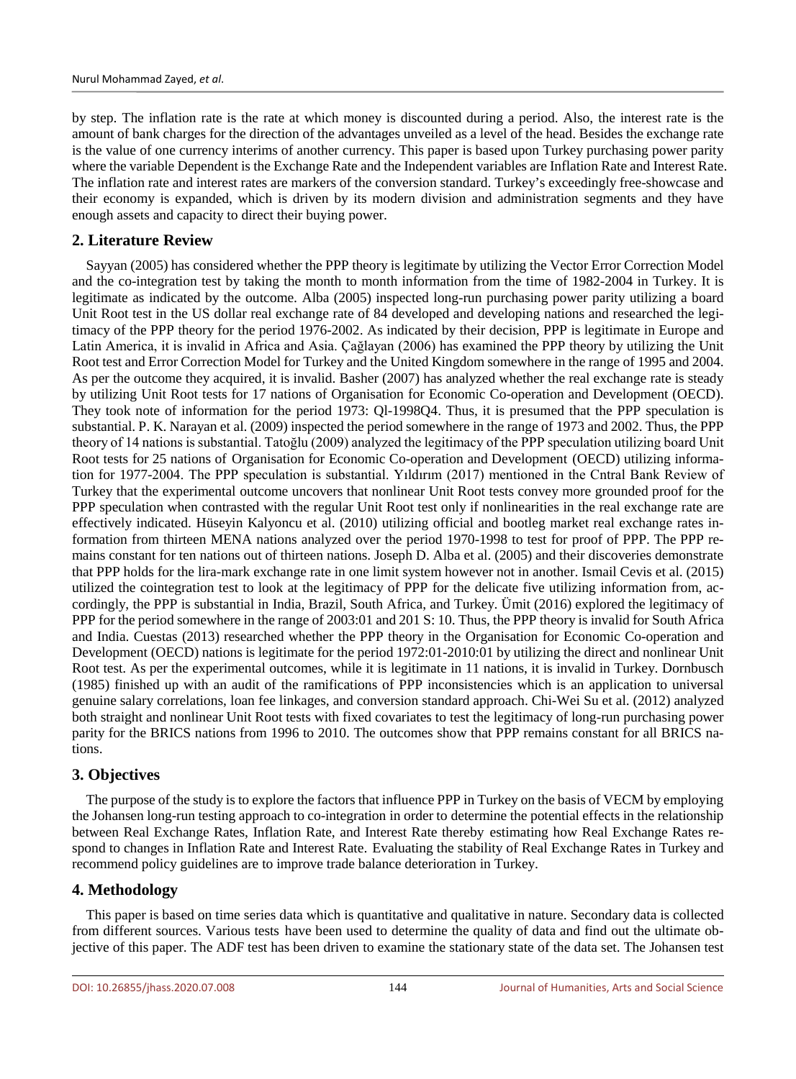by step. The inflation rate is the rate at which money is discounted during a period. Also, the interest rate is the amount of bank charges for the direction of the advantages unveiled as a level of the head. Besides the exchange rate is the value of one currency interims of another currency. This paper is based upon Turkey purchasing power parity where the variable Dependent is the Exchange Rate and the Independent variables are Inflation Rate and Interest Rate. The inflation rate and interest rates are markers of the conversion standard. Turkey's exceedingly free-showcase and their economy is expanded, which is driven by its modern division and administration segments and they have enough assets and capacity to direct their buying power.

# **2. Literature Review**

Sayyan (2005) has considered whether the PPP theory is legitimate by utilizing the Vector Error Correction Model and the co-integration test by taking the month to month information from the time of 1982-2004 in Turkey. It is legitimate as indicated by the outcome. Alba (2005) inspected long-run purchasing power parity utilizing a board Unit Root test in the US dollar real exchange rate of 84 developed and developing nations and researched the legitimacy of the PPP theory for the period 1976-2002. As indicated by their decision, PPP is legitimate in Europe and Latin America, it is invalid in Africa and Asia. Çağlayan (2006) has examined the PPP theory by utilizing the Unit Root test and Error Correction Model for Turkey and the United Kingdom somewhere in the range of 1995 and 2004. As per the outcome they acquired, it is invalid. Basher (2007) has analyzed whether the real exchange rate is steady by utilizing Unit Root tests for 17 nations of Organisation for Economic Co-operation and Development (OECD). They took note of information for the period 1973: Ql-1998Q4. Thus, it is presumed that the PPP speculation is substantial. P. K. Narayan et al. (2009) inspected the period somewhere in the range of 1973 and 2002. Thus, the PPP theory of 14 nations is substantial. Tatoğlu (2009) analyzed the legitimacy of the PPP speculation utilizing board Unit Root tests for 25 nations of Organisation for Economic Co-operation and Development (OECD) utilizing information for 1977-2004. The PPP speculation is substantial. Yıldırım (2017) mentioned in the Cntral Bank Review of Turkey that the experimental outcome uncovers that nonlinear Unit Root tests convey more grounded proof for the PPP speculation when contrasted with the regular Unit Root test only if nonlinearities in the real exchange rate are effectively indicated. Hüseyin Kalyoncu et al. (2010) utilizing official and bootleg market real exchange rates information from thirteen MENA nations analyzed over the period 1970-1998 to test for proof of PPP. The PPP remains constant for ten nations out of thirteen nations. Joseph D. Alba et al. (2005) and their discoveries demonstrate that PPP holds for the lira-mark exchange rate in one limit system however not in another. Ismail Cevis et al. (2015) utilized the cointegration test to look at the legitimacy of PPP for the delicate five utilizing information from, accordingly, the PPP is substantial in India, Brazil, South Africa, and Turkey. Ümit (2016) explored the legitimacy of PPP for the period somewhere in the range of 2003:01 and 201 S: 10. Thus, the PPP theory is invalid for South Africa and India. Cuestas (2013) researched whether the PPP theory in the Organisation for Economic Co-operation and Development (OECD) nations is legitimate for the period 1972:01-2010:01 by utilizing the direct and nonlinear Unit Root test. As per the experimental outcomes, while it is legitimate in 11 nations, it is invalid in Turkey. Dornbusch (1985) finished up with an audit of the ramifications of PPP inconsistencies which is an application to universal genuine salary correlations, loan fee linkages, and conversion standard approach. Chi-Wei Su et al. (2012) analyzed both straight and nonlinear Unit Root tests with fixed covariates to test the legitimacy of long-run purchasing power parity for the BRICS nations from 1996 to 2010. The outcomes show that PPP remains constant for all BRICS nations.

# **3. Objectives**

The purpose of the study is to explore the factors that influence PPP in Turkey on the basis of VECM by employing the Johansen long-run testing approach to co-integration in order to determine the potential effects in the relationship between Real Exchange Rates, Inflation Rate, and Interest Rate thereby estimating how Real Exchange Rates respond to changes in Inflation Rate and Interest Rate. Evaluating the stability of Real Exchange Rates in Turkey and recommend policy guidelines are to improve trade balance deterioration in Turkey.

# **4. Methodology**

This paper is based on time series data which is quantitative and qualitative in nature. Secondary data is collected from different sources. Various tests have been used to determine the quality of data and find out the ultimate objective of this paper. The ADF test has been driven to examine the stationary state of the data set. The Johansen test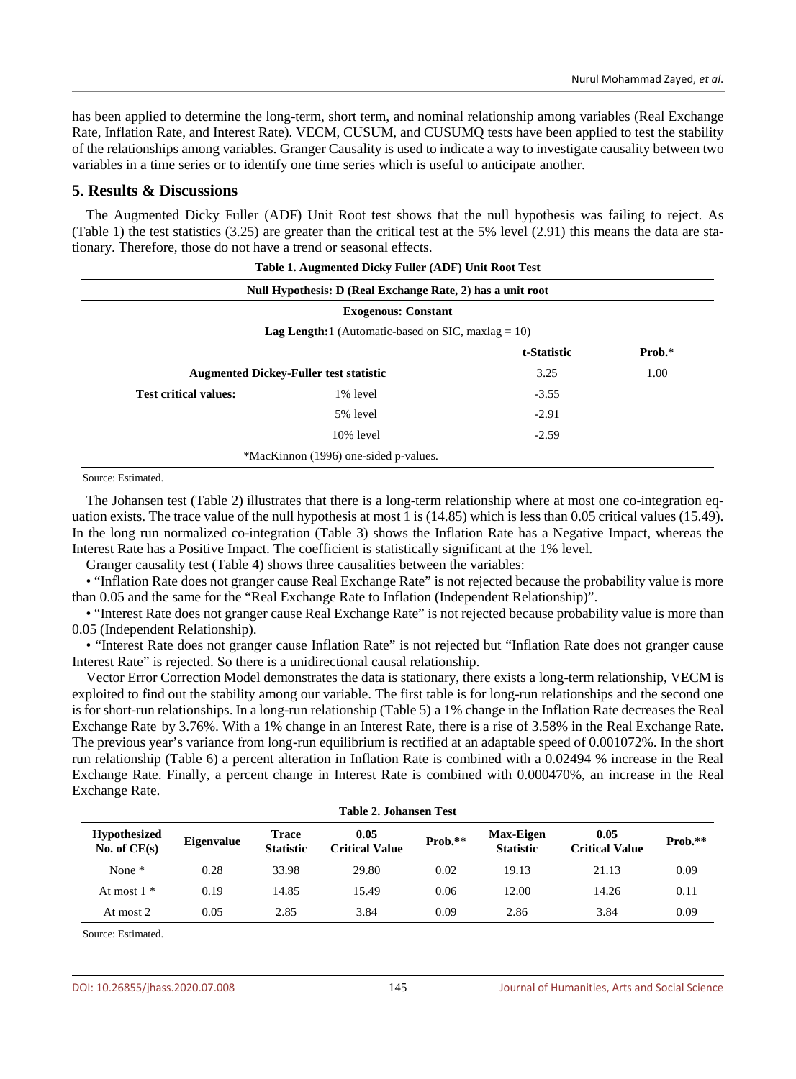has been applied to determine the long-term, short term, and nominal relationship among variables (Real Exchange Rate, Inflation Rate, and Interest Rate). VECM, CUSUM, and CUSUMQ tests have been applied to test the stability of the relationships among variables. Granger Causality is used to indicate a way to investigate causality between two variables in a time series or to identify one time series which is useful to anticipate another.

#### **5. Results & Discussions**

The Augmented Dicky Fuller (ADF) Unit Root test shows that the null hypothesis was failing to reject. As (Table 1) the test statistics (3.25) are greater than the critical test at the 5% level (2.91) this means the data are stationary. Therefore, those do not have a trend or seasonal effects.

|                              | Table 1. Augmented Dicky Fuller (ADF) Unit Root Test       |             |        |  |  |
|------------------------------|------------------------------------------------------------|-------------|--------|--|--|
|                              | Null Hypothesis: D (Real Exchange Rate, 2) has a unit root |             |        |  |  |
|                              | <b>Exogenous: Constant</b>                                 |             |        |  |  |
|                              | <b>Lag Length:</b> 1 (Automatic-based on SIC, maxlag = 10) |             |        |  |  |
|                              |                                                            | t-Statistic | Prob.* |  |  |
|                              | <b>Augmented Dickey-Fuller test statistic</b>              |             | 1.00   |  |  |
| <b>Test critical values:</b> | 1% level                                                   | $-3.55$     |        |  |  |
|                              | 5% level                                                   | $-2.91$     |        |  |  |
|                              | $10\%$ level                                               | $-2.59$     |        |  |  |
|                              | *MacKinnon (1996) one-sided p-values.                      |             |        |  |  |

Source: Estimated.

The Johansen test (Table 2) illustrates that there is a long-term relationship where at most one co-integration equation exists. The trace value of the null hypothesis at most 1 is (14.85) which is less than 0.05 critical values (15.49). In the long run normalized co-integration (Table 3) shows the Inflation Rate has a Negative Impact, whereas the Interest Rate has a Positive Impact. The coefficient is statistically significant at the 1% level.

Granger causality test (Table 4) shows three causalities between the variables:

• "Inflation Rate does not granger cause Real Exchange Rate" is not rejected because the probability value is more than 0.05 and the same for the "Real Exchange Rate to Inflation (Independent Relationship)".

• "Interest Rate does not granger cause Real Exchange Rate" is not rejected because probability value is more than 0.05 (Independent Relationship).

• "Interest Rate does not granger cause Inflation Rate" is not rejected but "Inflation Rate does not granger cause Interest Rate" is rejected. So there is a unidirectional causal relationship.

Vector Error Correction Model demonstrates the data is stationary, there exists a long-term relationship, VECM is exploited to find out the stability among our variable. The first table is for long-run relationships and the second one is for short-run relationships. In a long-run relationship (Table 5) a 1% change in the Inflation Rate decreases the Real Exchange Rate by 3.76%. With a 1% change in an Interest Rate, there is a rise of 3.58% in the Real Exchange Rate. The previous year's variance from long-run equilibrium is rectified at an adaptable speed of 0.001072%. In the short run relationship (Table 6) a percent alteration in Inflation Rate is combined with a 0.02494 % increase in the Real Exchange Rate. Finally, a percent change in Interest Rate is combined with 0.000470%, an increase in the Real Exchange Rate.

| <b>Table 2. Johansen Test</b>         |                   |                                  |                               |           |                                      |                               |           |
|---------------------------------------|-------------------|----------------------------------|-------------------------------|-----------|--------------------------------------|-------------------------------|-----------|
| <b>Hypothesized</b><br>No. of $CE(s)$ | <b>Eigenvalue</b> | <b>Trace</b><br><b>Statistic</b> | 0.05<br><b>Critical Value</b> | $Prob.**$ | <b>Max-Eigen</b><br><b>Statistic</b> | 0.05<br><b>Critical Value</b> | $Prob.**$ |
| None $*$                              | 0.28              | 33.98                            | 29.80                         | 0.02      | 19.13                                | 21.13                         | 0.09      |
| At most $1 *$                         | 0.19              | 14.85                            | 15.49                         | 0.06      | 12.00                                | 14.26                         | 0.11      |
| At most 2                             | 0.05              | 2.85                             | 3.84                          | 0.09      | 2.86                                 | 3.84                          | 0.09      |

Source: Estimated.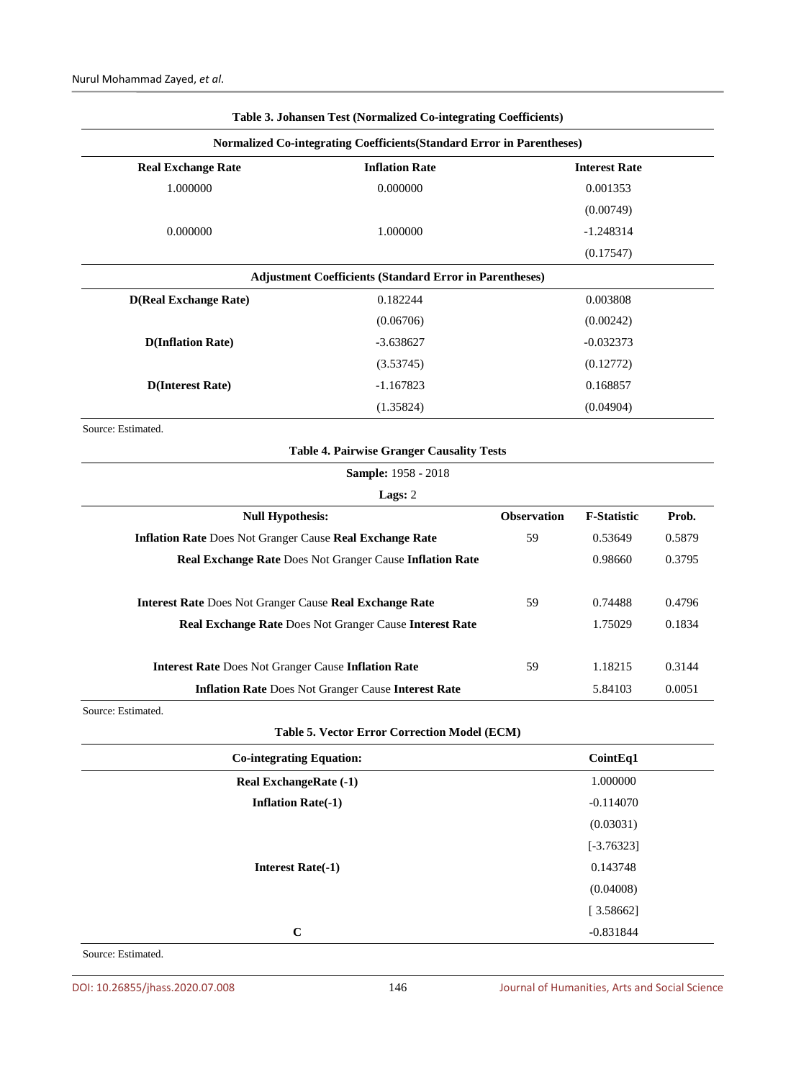|                                                                                                                             | Table 3. Johansen Test (Normalized Co-integrating Coefficients)       |                      |                    |        |
|-----------------------------------------------------------------------------------------------------------------------------|-----------------------------------------------------------------------|----------------------|--------------------|--------|
|                                                                                                                             | Normalized Co-integrating Coefficients(Standard Error in Parentheses) |                      |                    |        |
| <b>Real Exchange Rate</b>                                                                                                   | <b>Inflation Rate</b>                                                 | <b>Interest Rate</b> |                    |        |
| 1.000000                                                                                                                    | 0.000000                                                              | 0.001353             |                    |        |
|                                                                                                                             |                                                                       |                      | (0.00749)          |        |
| 0.000000                                                                                                                    | 1.000000                                                              |                      | $-1.248314$        |        |
|                                                                                                                             |                                                                       |                      | (0.17547)          |        |
|                                                                                                                             | <b>Adjustment Coefficients (Standard Error in Parentheses)</b>        |                      |                    |        |
| <b>D(Real Exchange Rate)</b>                                                                                                | 0.182244                                                              | 0.003808             |                    |        |
|                                                                                                                             | (0.06706)                                                             |                      | (0.00242)          |        |
| <b>D(Inflation Rate)</b>                                                                                                    | $-3.638627$                                                           |                      | $-0.032373$        |        |
|                                                                                                                             | (3.53745)                                                             |                      | (0.12772)          |        |
| <b>D</b> (Interest Rate)                                                                                                    | $-1.167823$                                                           | 0.168857             |                    |        |
| (1.35824)                                                                                                                   |                                                                       | (0.04904)            |                    |        |
| Source: Estimated.                                                                                                          |                                                                       |                      |                    |        |
|                                                                                                                             | <b>Table 4. Pairwise Granger Causality Tests</b>                      |                      |                    |        |
|                                                                                                                             | Sample: 1958 - 2018                                                   |                      |                    |        |
|                                                                                                                             | Lags: 2                                                               |                      |                    |        |
| <b>Null Hypothesis:</b>                                                                                                     |                                                                       | <b>Observation</b>   | <b>F-Statistic</b> | Prob.  |
| <b>Inflation Rate Does Not Granger Cause Real Exchange Rate</b><br>Real Exchange Rate Does Not Granger Cause Inflation Rate |                                                                       | 59                   | 0.53649            | 0.5879 |
|                                                                                                                             |                                                                       |                      | 0.98660            | 0.3795 |
| Interest Rate Does Not Granger Cause Real Exchange Rate                                                                     |                                                                       | 59                   | 0.74488            | 0.4796 |
| Real Exchange Rate Does Not Granger Cause Interest Rate                                                                     |                                                                       |                      | 1.75029            | 0.1834 |
| <b>Interest Rate Does Not Granger Cause Inflation Rate</b>                                                                  |                                                                       | 59                   | 1.18215            | 0.3144 |
| <b>Inflation Rate Does Not Granger Cause Interest Rate</b>                                                                  |                                                                       |                      | 5.84103            | 0.0051 |
| Source: Estimated.                                                                                                          |                                                                       |                      |                    |        |
|                                                                                                                             | Table 5. Vector Error Correction Model (ECM)                          |                      |                    |        |
| <b>Co-integrating Equation:</b>                                                                                             |                                                                       |                      | CointEq1           |        |
|                                                                                                                             |                                                                       |                      |                    |        |
| Real ExchangeRate (-1)                                                                                                      |                                                                       |                      | 1.000000           |        |
| <b>Inflation Rate(-1)</b>                                                                                                   |                                                                       |                      | $-0.114070$        |        |
|                                                                                                                             |                                                                       |                      | (0.03031)          |        |
|                                                                                                                             |                                                                       |                      | $[-3.76323]$       |        |
| <b>Interest Rate(-1)</b>                                                                                                    |                                                                       |                      | 0.143748           |        |
|                                                                                                                             |                                                                       |                      | (0.04008)          |        |
|                                                                                                                             |                                                                       |                      | [3.58662]          |        |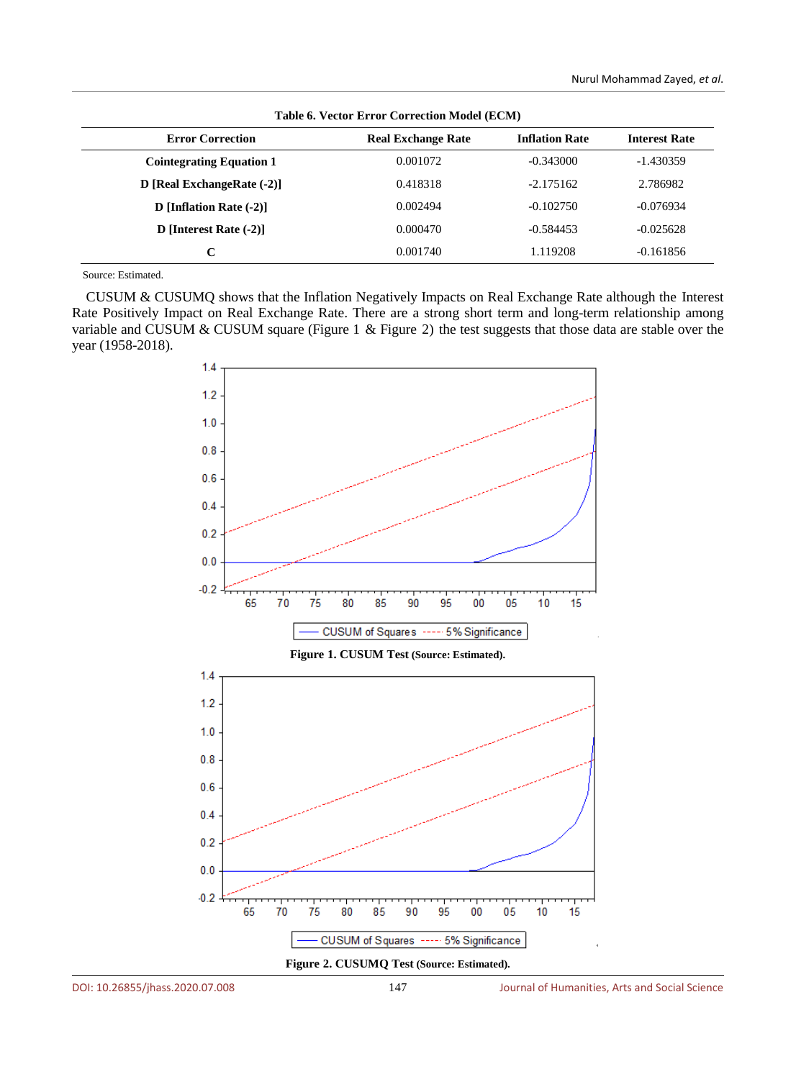| Table 6. Vector Error Correction Model (ECM) |                           |                       |                      |  |  |
|----------------------------------------------|---------------------------|-----------------------|----------------------|--|--|
| <b>Error Correction</b>                      | <b>Real Exchange Rate</b> | <b>Inflation Rate</b> | <b>Interest Rate</b> |  |  |
| <b>Cointegrating Equation 1</b>              | 0.001072                  | $-0.343000$           | -1.430359            |  |  |
| D [Real ExchangeRate (-2)]                   | 0.418318                  | $-2.175162$           | 2.786982             |  |  |
| D [Inflation Rate $(-2)$ ]                   | 0.002494                  | $-0.102750$           | $-0.076934$          |  |  |
| D [Interest Rate $(-2)$ ]                    | 0.000470                  | $-0.584453$           | $-0.025628$          |  |  |
| C                                            | 0.001740                  | 1.119208              | $-0.161856$          |  |  |

**Table 6. Vector Error Correction Model (ECM)**

Source: Estimated.

CUSUM & CUSUMQ shows that the Inflation Negatively Impacts on Real Exchange Rate although the Interest Rate Positively Impact on Real Exchange Rate. There are a strong short term and long-term relationship among variable and CUSUM & CUSUM square (Figure 1 & Figure 2) the test suggests that those data are stable over the year (1958-2018).